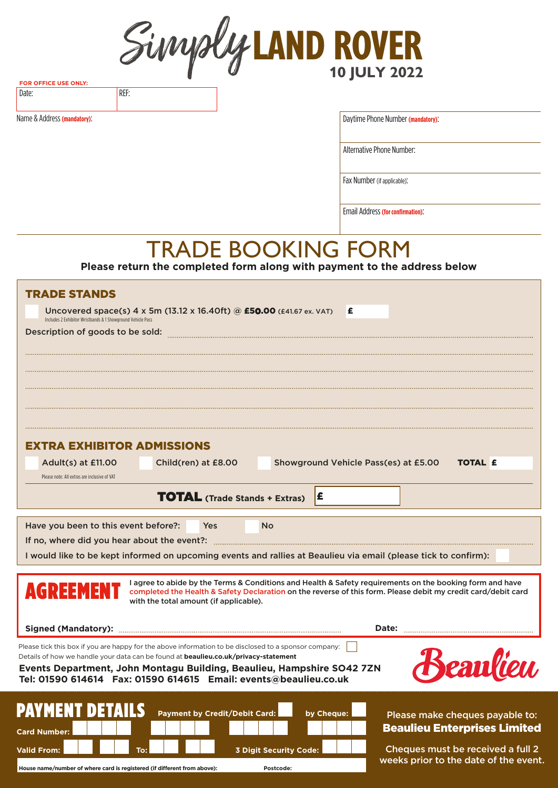**LAND ROVER 10 JULY 2022**

**FOR OFFICE USE ONLY:** Date: REF:

Name & Address **(mandatory)**:

Daytime Phone Number **(mandatory)**:

Alternative Phone Number:

Fax Number (if applicable):

Email Address **(for confirmation)**:

# TRADE BOOKING FORM

**Please return the completed form along with payment to the address below**

| <b>TRADE STANDS</b>                                                                                                                                                                                                                                                              |                                                                            |  |  |  |  |  |
|----------------------------------------------------------------------------------------------------------------------------------------------------------------------------------------------------------------------------------------------------------------------------------|----------------------------------------------------------------------------|--|--|--|--|--|
| Uncovered space(s) 4 x 5m (13.12 x 16.40ft) @ £50.00 (£41.67 ex. VAT)<br>£                                                                                                                                                                                                       |                                                                            |  |  |  |  |  |
| Includes 2 Exhibitor Wristbands & 1 Showground Vehicle Pass<br>Description of goods to be sold:                                                                                                                                                                                  |                                                                            |  |  |  |  |  |
|                                                                                                                                                                                                                                                                                  |                                                                            |  |  |  |  |  |
|                                                                                                                                                                                                                                                                                  |                                                                            |  |  |  |  |  |
|                                                                                                                                                                                                                                                                                  |                                                                            |  |  |  |  |  |
|                                                                                                                                                                                                                                                                                  |                                                                            |  |  |  |  |  |
|                                                                                                                                                                                                                                                                                  |                                                                            |  |  |  |  |  |
|                                                                                                                                                                                                                                                                                  |                                                                            |  |  |  |  |  |
| <b>EXTRA EXHIBITOR ADMISSIONS</b>                                                                                                                                                                                                                                                |                                                                            |  |  |  |  |  |
| Child(ren) at £8.00<br>Showground Vehicle Pass(es) at £5.00<br>Adult(s) at £11.00                                                                                                                                                                                                | <b>TOTAL £</b>                                                             |  |  |  |  |  |
| Please note: All extras are inclusive of VAT                                                                                                                                                                                                                                     |                                                                            |  |  |  |  |  |
| <b>TOTAL</b> (Trade Stands + Extras)<br>I£                                                                                                                                                                                                                                       |                                                                            |  |  |  |  |  |
| Have you been to this event before?:<br>Yes<br><b>No</b>                                                                                                                                                                                                                         |                                                                            |  |  |  |  |  |
| If no, where did you hear about the event?:                                                                                                                                                                                                                                      |                                                                            |  |  |  |  |  |
| I would like to be kept informed on upcoming events and rallies at Beaulieu via email (please tick to confirm):                                                                                                                                                                  |                                                                            |  |  |  |  |  |
|                                                                                                                                                                                                                                                                                  |                                                                            |  |  |  |  |  |
| I agree to abide by the Terms & Conditions and Health & Safety requirements on the booking form and have<br>AGREEMENT<br>completed the Health & Safety Declaration on the reverse of this form. Please debit my credit card/debit card<br>with the total amount (if applicable). |                                                                            |  |  |  |  |  |
|                                                                                                                                                                                                                                                                                  | Date:                                                                      |  |  |  |  |  |
| Please tick this box if you are happy for the above information to be disclosed to a sponsor company:                                                                                                                                                                            |                                                                            |  |  |  |  |  |
| Details of how we handle your data can be found at <b>beaulieu.co.uk/privacy-statement</b>                                                                                                                                                                                       |                                                                            |  |  |  |  |  |
| <i><b>Seanfion</b></i><br>Events Department, John Montagu Building, Beaulieu, Hampshire SO42 7ZN<br>Tel: 01590 614614    Fax: 01590 614615    Email: events@beaulieu.co.uk                                                                                                       |                                                                            |  |  |  |  |  |
|                                                                                                                                                                                                                                                                                  |                                                                            |  |  |  |  |  |
| <b>PAYMENT DETAILS</b><br><b>Payment by Credit/Debit Card:</b><br>by Cheque:                                                                                                                                                                                                     |                                                                            |  |  |  |  |  |
|                                                                                                                                                                                                                                                                                  | Please make cheques payable to:<br><b>Beaulieu Enterprises Limited</b>     |  |  |  |  |  |
| <b>Card Number:</b>                                                                                                                                                                                                                                                              |                                                                            |  |  |  |  |  |
| <b>Valid From:</b><br><b>3 Digit Security Code:</b><br>To:                                                                                                                                                                                                                       | Cheques must be received a full 2<br>weeks prior to the date of the event. |  |  |  |  |  |
| House name/number of where card is registered (if different from above):<br>Postcode:                                                                                                                                                                                            |                                                                            |  |  |  |  |  |